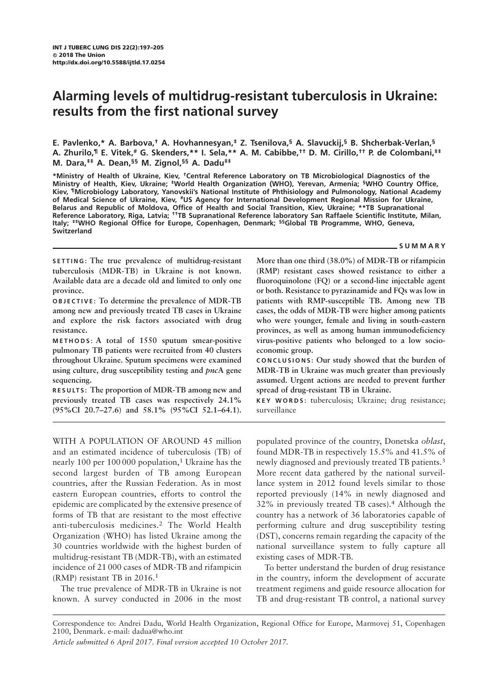# Alarming levels of multidrug-resistant tuberculosis in Ukraine: results from the first national survey

E. Pavlenko,\* A. Barbova,<sup>†</sup> A. Hovhannesyan,<sup>‡</sup> Z. Tsenilova,<sup>§</sup> A. Slavuckij,<sup>§</sup> B. Shcherbak-Verlan,<sup>§</sup> A. Zhurilo,<sup>¶</sup> E. Vitek,<sup>#</sup> G. Skenders,\*\* I. Sela,\*\* A. M. Cabibbe,<sup>††</sup> D. M. Cirillo,<sup>††</sup> P. de Colombani,<sup>‡‡</sup> M. Dara,‡‡ A. Dean,§§ M. Zignol,§§ A. Dadu‡‡

\*Ministry of Health of Ukraine, Kiev, †Central Reference Laboratory on TB Microbiological Diagnostics of the Ministry of Health, Kiev, Ukraine; <sup>‡</sup>World Health Organization (WHO), Yerevan, Armenia; <sup>§</sup>WHO Country Office, Kiev, ¶Microbiology Laboratory, Yanovskii's National Institute of Phthisiology and Pulmonology, National Academy of Medical Science of Ukraine, Kiev, #US Agency for International Development Regional Mission for Ukraine, Belarus and Republic of Moldova, Office of Health and Social Transition, Kiev, Ukraine; \*\*TB Supranational Reference Laboratory, Riga, Latvia; ††TB Supranational Reference laboratory San Raffaele Scientific Institute, Milan, Italy; #WHO Regional Office for Europe, Copenhagen, Denmark; <sup>§§</sup>Global TB Programme, WHO, Geneva, Switzerland

## SUMMARY

SETTING: The true prevalence of multidrug-resistant tuberculosis (MDR-TB) in Ukraine is not known. Available data are a decade old and limited to only one province.

OBJECTIVE: To determine the prevalence of MDR-TB among new and previously treated TB cases in Ukraine and explore the risk factors associated with drug resistance.

METHODS: A total of 1550 sputum smear-positive pulmonary TB patients were recruited from 40 clusters throughout Ukraine. Sputum specimens were examined using culture, drug susceptibility testing and *pncA* gene sequencing.

RESULTS: The proportion of MDR-TB among new and previously treated TB cases was respectively 24.1% (95%CI 20.7–27.6) and 58.1% (95%CI 52.1–64.1).

WITH A POPULATION OF AROUND 45 million and an estimated incidence of tuberculosis (TB) of nearly 100 per 100 000 population,<sup>1</sup> Ukraine has the second largest burden of TB among European countries, after the Russian Federation. As in most eastern European countries, efforts to control the epidemic are complicated by the extensive presence of forms of TB that are resistant to the most effective anti-tuberculosis medicines.<sup>2</sup> The World Health Organization (WHO) has listed Ukraine among the 30 countries worldwide with the highest burden of multidrug-resistant TB (MDR-TB), with an estimated incidence of 21 000 cases of MDR-TB and rifampicin (RMP) resistant TB in 2016.<sup>1</sup>

The true prevalence of MDR-TB in Ukraine is not known. A survey conducted in 2006 in the most More than one third (38.0%) of MDR-TB or rifampicin (RMP) resistant cases showed resistance to either a fluoroquinolone (FQ) or a second-line injectable agent or both. Resistance to pyrazinamide and FQs was low in patients with RMP-susceptible TB. Among new TB cases, the odds of MDR-TB were higher among patients who were younger, female and living in south-eastern provinces, as well as among human immunodeficiency virus-positive patients who belonged to a low socioeconomic group.

CONCLUSIONS: Our study showed that the burden of MDR-TB in Ukraine was much greater than previously assumed. Urgent actions are needed to prevent further spread of drug-resistant TB in Ukraine.

KEY WORDS: tuberculosis; Ukraine; drug resistance; surveillance

populated province of the country, Donetska oblast, found MDR-TB in respectively 15.5% and 41.5% of newly diagnosed and previously treated TB patients.3 More recent data gathered by the national surveillance system in 2012 found levels similar to those reported previously (14% in newly diagnosed and 32% in previously treated TB cases).<sup>4</sup> Although the country has a network of 36 laboratories capable of performing culture and drug susceptibility testing (DST), concerns remain regarding the capacity of the national surveillance system to fully capture all existing cases of MDR-TB.

To better understand the burden of drug resistance in the country, inform the development of accurate treatment regimens and guide resource allocation for TB and drug-resistant TB control, a national survey

Correspondence to: Andrei Dadu, World Health Organization, Regional Office for Europe, Marmovej 51, Copenhagen 2100, Denmark. e-mail: dadua@who.int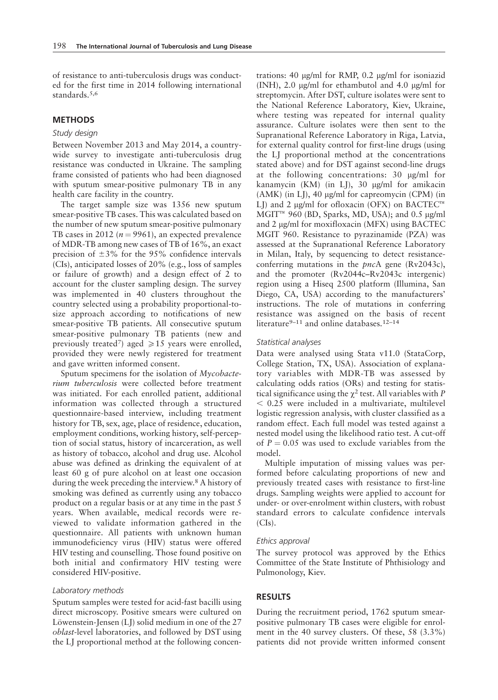of resistance to anti-tuberculosis drugs was conducted for the first time in 2014 following international standards.<sup>5,6</sup>

# **METHODS**

# Study design

Between November 2013 and May 2014, a countrywide survey to investigate anti-tuberculosis drug resistance was conducted in Ukraine. The sampling frame consisted of patients who had been diagnosed with sputum smear-positive pulmonary TB in any health care facility in the country.

The target sample size was 1356 new sputum smear-positive TB cases. This was calculated based on the number of new sputum smear-positive pulmonary TB cases in 2012 ( $n = 9961$ ), an expected prevalence of MDR-TB among new cases of TB of 16%, an exact precision of  $\pm 3\%$  for the 95% confidence intervals (CIs), anticipated losses of 20% (e.g., loss of samples or failure of growth) and a design effect of 2 to account for the cluster sampling design. The survey was implemented in 40 clusters throughout the country selected using a probability proportional-tosize approach according to notifications of new smear-positive TB patients. All consecutive sputum smear-positive pulmonary TB patients (new and previously treated<sup>7</sup>) aged  $\ge 15$  years were enrolled, provided they were newly registered for treatment and gave written informed consent.

Sputum specimens for the isolation of Mycobacterium tuberculosis were collected before treatment was initiated. For each enrolled patient, additional information was collected through a structured questionnaire-based interview, including treatment history for TB, sex, age, place of residence, education, employment conditions, working history, self-perception of social status, history of incarceration, as well as history of tobacco, alcohol and drug use. Alcohol abuse was defined as drinking the equivalent of at least 60 g of pure alcohol on at least one occasion during the week preceding the interview.8 A history of smoking was defined as currently using any tobacco product on a regular basis or at any time in the past 5 years. When available, medical records were reviewed to validate information gathered in the questionnaire. All patients with unknown human immunodeficiency virus (HIV) status were offered HIV testing and counselling. Those found positive on both initial and confirmatory HIV testing were considered HIV-positive.

## Laboratory methods

Sputum samples were tested for acid-fast bacilli using direct microscopy. Positive smears were cultured on Löwenstein-Jensen  $(LJ)$  solid medium in one of the 27 oblast-level laboratories, and followed by DST using the LJ proportional method at the following concentrations: 40  $\mu$ g/ml for RMP, 0.2  $\mu$ g/ml for isoniazid (INH), 2.0  $\mu$ g/ml for ethambutol and 4.0  $\mu$ g/ml for streptomycin. After DST, culture isolates were sent to the National Reference Laboratory, Kiev, Ukraine, where testing was repeated for internal quality assurance. Culture isolates were then sent to the Supranational Reference Laboratory in Riga, Latvia, for external quality control for first-line drugs (using the LJ proportional method at the concentrations stated above) and for DST against second-line drugs at the following concentrations:  $30 \mu g/ml$  for kanamycin (KM) (in LJ), 30 µg/ml for amikacin  $(AMK)$  (in LJ), 40  $\mu$ g/ml for capreomycin (CPM) (in LJ) and 2  $\mu$ g/ml for ofloxacin (OFX) on BACTEC<sup>™</sup>  $MGIT^{TM}$  960 (BD, Sparks, MD, USA); and 0.5 µg/ml and  $2 \mu g/ml$  for moxifloxacin (MFX) using BACTEC MGIT 960. Resistance to pyrazinamide (PZA) was assessed at the Supranational Reference Laboratory in Milan, Italy, by sequencing to detect resistanceconferring mutations in the pncA gene (Rv2043c), and the promoter (Rv2044c–Rv2043c intergenic) region using a Hiseq 2500 platform (Illumina, San Diego, CA, USA) according to the manufacturers' instructions. The role of mutations in conferring resistance was assigned on the basis of recent literature<sup>9–11</sup> and online databases.<sup>12–14</sup>

## Statistical analyses

Data were analysed using Stata v11.0 (StataCorp, College Station, TX, USA). Association of explanatory variables with MDR-TB was assessed by calculating odds ratios (ORs) and testing for statistical significance using the  $\chi^2$  test. All variables with P  $< 0.25$  were included in a multivariate, multilevel logistic regression analysis, with cluster classified as a random effect. Each full model was tested against a nested model using the likelihood ratio test. A cut-off of  $P = 0.05$  was used to exclude variables from the model.

Multiple imputation of missing values was performed before calculating proportions of new and previously treated cases with resistance to first-line drugs. Sampling weights were applied to account for under- or over-enrolment within clusters, with robust standard errors to calculate confidence intervals  $(CIs)$ .

## Ethics approval

The survey protocol was approved by the Ethics Committee of the State Institute of Phthisiology and Pulmonology, Kiev.

## RESULTS

During the recruitment period, 1762 sputum smearpositive pulmonary TB cases were eligible for enrolment in the 40 survey clusters. Of these, 58 (3.3%) patients did not provide written informed consent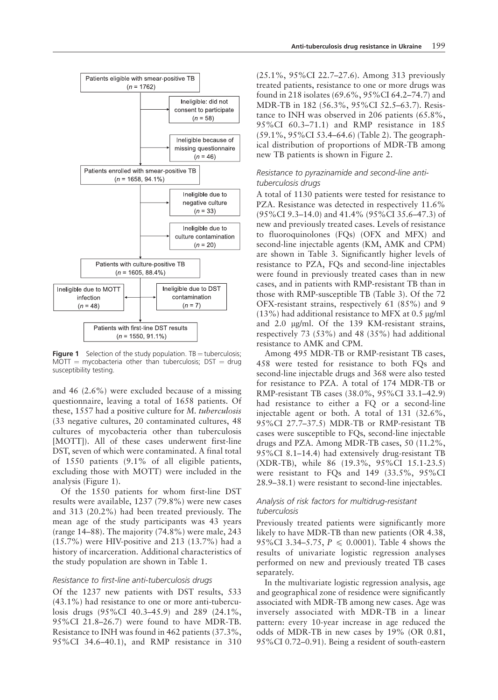



Figure 1 Selection of the study population.  $TB = \text{tuberculosis}$ ;  $MOTT = mycobacteria other than tuberculosis; DIST = drug$ susceptibility testing.

and 46 (2.6%) were excluded because of a missing questionnaire, leaving a total of 1658 patients. Of these, 1557 had a positive culture for M. tuberculosis (33 negative cultures, 20 contaminated cultures, 48 cultures of mycobacteria other than tuberculosis [MOTT]). All of these cases underwent first-line DST, seven of which were contaminated. A final total of 1550 patients (9.1% of all eligible patients, excluding those with MOTT) were included in the analysis (Figure 1).

Of the 1550 patients for whom first-line DST results were available, 1237 (79.8%) were new cases and 313 (20.2%) had been treated previously. The mean age of the study participants was 43 years (range 14–88). The majority (74.8%) were male, 243 (15.7%) were HIV-positive and 213 (13.7%) had a history of incarceration. Additional characteristics of the study population are shown in Table 1.

## Resistance to first-line anti-tuberculosis drugs

Of the 1237 new patients with DST results, 533 (43.1%) had resistance to one or more anti-tuberculosis drugs (95%CI 40.3–45.9) and 289 (24.1%, 95%CI 21.8–26.7) were found to have MDR-TB. Resistance to INH was found in 462 patients (37.3%, 95%CI 34.6–40.1), and RMP resistance in 310 (25.1%, 95%CI 22.7–27.6). Among 313 previously treated patients, resistance to one or more drugs was found in 218 isolates (69.6%, 95%CI 64.2–74.7) and MDR-TB in 182 (56.3%, 95%CI 52.5–63.7). Resistance to INH was observed in 206 patients (65.8%, 95%CI 60.3–71.1) and RMP resistance in 185 (59.1%, 95%CI 53.4–64.6) (Table 2). The geographical distribution of proportions of MDR-TB among new TB patients is shown in Figure 2.

# Resistance to pyrazinamide and second-line antituberculosis drugs

A total of 1130 patients were tested for resistance to PZA. Resistance was detected in respectively 11.6% (95%CI 9.3–14.0) and 41.4% (95%CI 35.6–47.3) of new and previously treated cases. Levels of resistance to fluoroquinolones (FQs) (OFX and MFX) and second-line injectable agents (KM, AMK and CPM) are shown in Table 3. Significantly higher levels of resistance to PZA, FQs and second-line injectables were found in previously treated cases than in new cases, and in patients with RMP-resistant TB than in those with RMP-susceptible TB (Table 3). Of the 72 OFX-resistant strains, respectively 61 (85%) and 9  $(13%)$  had additional resistance to MFX at 0.5 µg/ml and 2.0 µg/ml. Of the 139 KM-resistant strains, respectively 73 (53%) and 48 (35%) had additional resistance to AMK and CPM.

Among 495 MDR-TB or RMP-resistant TB cases, 458 were tested for resistance to both FQs and second-line injectable drugs and 368 were also tested for resistance to PZA. A total of 174 MDR-TB or RMP-resistant TB cases (38.0%, 95%CI 33.1–42.9) had resistance to either a FQ or a second-line injectable agent or both. A total of 131 (32.6%, 95%CI 27.7–37.5) MDR-TB or RMP-resistant TB cases were susceptible to FQs, second-line injectable drugs and PZA. Among MDR-TB cases, 50 (11.2%, 95%CI 8.1–14.4) had extensively drug-resistant TB (XDR-TB), while 86 (19.3%, 95%CI 15.1-23.5) were resistant to FQs and 149 (33.5%, 95%CI 28.9–38.1) were resistant to second-line injectables.

# Analysis of risk factors for multidrug-resistant tuberculosis

Previously treated patients were significantly more likely to have MDR-TB than new patients (OR 4.38, 95%CI 3.34–5.75,  $P \le 0.0001$ ). Table 4 shows the results of univariate logistic regression analyses performed on new and previously treated TB cases separately.

In the multivariate logistic regression analysis, age and geographical zone of residence were significantly associated with MDR-TB among new cases. Age was inversely associated with MDR-TB in a linear pattern: every 10-year increase in age reduced the odds of MDR-TB in new cases by 19% (OR 0.81, 95%CI 0.72–0.91). Being a resident of south-eastern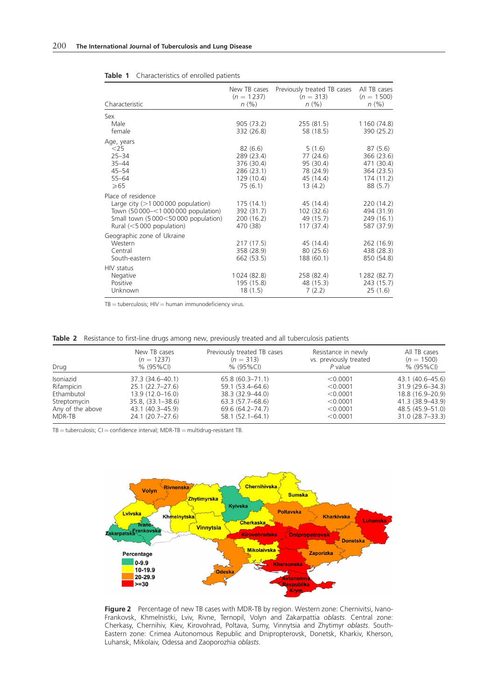| Characteristic                                                                                                                                                        | New TB cases<br>$(n = 1237)$<br>n(% )                                      | Previously treated TB cases<br>$(n = 313)$<br>n(% )                   | All TB cases<br>$(n = 1500)$<br>n(% )                                      |
|-----------------------------------------------------------------------------------------------------------------------------------------------------------------------|----------------------------------------------------------------------------|-----------------------------------------------------------------------|----------------------------------------------------------------------------|
| Sex<br>Male<br>female                                                                                                                                                 | 905 (73.2)<br>332 (26.8)                                                   | 255(81.5)<br>58 (18.5)                                                | 1 160 (74.8)<br>390 (25.2)                                                 |
| Age, years<br>$<$ 25<br>$25 - 34$<br>$35 - 44$<br>$45 - 54$<br>$55 - 64$<br>$\geqslant$ 65                                                                            | 82(6.6)<br>289 (23.4)<br>376 (30.4)<br>286 (23.1)<br>129 (10.4)<br>75(6.1) | 5(1.6)<br>77 (24.6)<br>95 (30.4)<br>78 (24.9)<br>45 (14.4)<br>13(4.2) | 87(5.6)<br>366 (23.6)<br>471 (30.4)<br>364 (23.5)<br>174(11.2)<br>88 (5.7) |
| Place of residence<br>Large city $(>1000000$ population)<br>Town (50 000-<1 000 000 population)<br>Small town (5 000<50 000 population)<br>Rural $(<5000$ population) | 175(14.1)<br>392 (31.7)<br>200 (16.2)<br>470 (38)                          | 45 (14.4)<br>102 (32.6)<br>49 (15.7)<br>117 (37.4)                    | 220 (14.2)<br>494 (31.9)<br>249 (16.1)<br>587 (37.9)                       |
| Geographic zone of Ukraine<br>Western<br>Central<br>South-eastern                                                                                                     | 217 (17.5)<br>358 (28.9)<br>662 (53.5)                                     | 45 (14.4)<br>80 (25.6)<br>188 (60.1)                                  | 262 (16.9)<br>438 (28.3)<br>850 (54.8)                                     |
| HIV status<br>Negative<br>Positive<br>Unknown                                                                                                                         | 1024 (82.8)<br>195 (15.8)<br>18(1.5)                                       | 258 (82.4)<br>48 (15.3)<br>7(2.2)                                     | 1 2 8 2 (8 2 . 7)<br>243 (15.7)<br>25(1.6)                                 |

#### Table 1 Characteristics of enrolled patients

 $TB = \text{tuberculosis}$ ; HIV  $=$  human immunodeficiency virus.

Table 2 Resistance to first-line drugs among new, previously treated and all tuberculosis patients

| Drug             | New TB cases<br>$(n = 1237)$<br>$% (95\%CI)$ | Previously treated TB cases<br>$(n = 313)$<br>% (95%CI) | Resistance in newly<br>vs. previously treated<br>P value | All TB cases<br>$(n = 1500)$<br>% (95%CI) |  |  |
|------------------|----------------------------------------------|---------------------------------------------------------|----------------------------------------------------------|-------------------------------------------|--|--|
| Isoniazid        | 37.3 (34.6-40.1)                             | $65.8(60.3 - 71.1)$                                     | < 0.0001                                                 | 43.1 (40.6–45.6)                          |  |  |
| Rifampicin       | $25.1(22.7-27.6)$                            | 59.1 (53.4–64.6)                                        | < 0.0001                                                 | $31.9(29.6 - 34.3)$                       |  |  |
| Ethambutol       | $13.9(12.0 - 16.0)$                          | 38.3 (32.9–44.0)                                        | < 0.0001                                                 | 18.8 (16.9-20.9)                          |  |  |
| Streptomycin     | $35.8, (33.1 - 38.6)$                        | $63.3(57.7 - 68.6)$                                     | < 0.0001                                                 | 41.3 (38.9-43.9)                          |  |  |
| Any of the above | 43.1 (40.3–45.9)                             | $69.6(64.2 - 74.7)$                                     | < 0.0001                                                 | 48.5 (45.9–51.0)                          |  |  |
| MDR-TB           | 24.1 (20.7-27.6)                             | $58.1(52.1 - 64.1)$                                     | < 0.0001                                                 | 31.0 (28.7–33.3)                          |  |  |

 $TB =$  tuberculosis;  $CI =$  confidence interval; MDR-TB  $=$  multidrug-resistant TB.



Figure 2 Percentage of new TB cases with MDR-TB by region. Western zone: Chernivitsi, Ivano-Frankovsk, Khmelnistki, Lviv, Rivne, Ternopil, Volyn and Zakarpattia oblasts. Central zone: Cherkasy, Chernihiv, Kiev, Kirovohrad, Poltava, Sumy, Vinnytsia and Zhytimyr oblasts. South-Eastern zone: Crimea Autonomous Republic and Dnipropterovsk, Donetsk, Kharkiv, Kherson, Luhansk, Mikolaiv, Odessa and Zaoporozhia oblasts.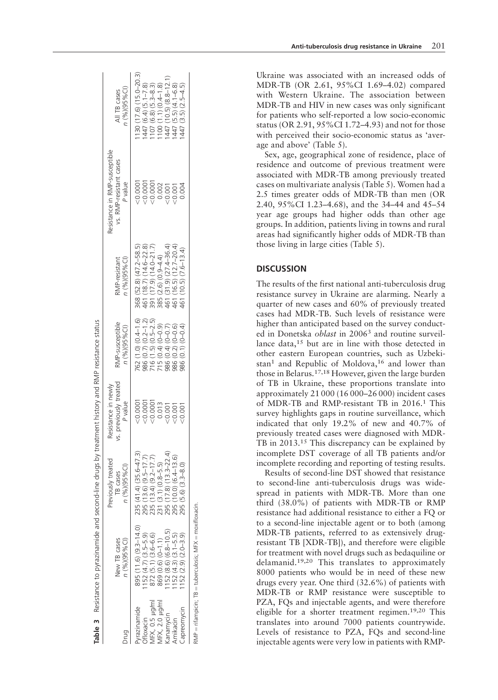|                                  |                                                            | Table 3 Resistance to pyrazinamide and second-line drugs by treatment history and RIVIP resistance status |                                                                 |                                                                 |                                                                                                                            |                                                                     |                                                                                                                      |
|----------------------------------|------------------------------------------------------------|-----------------------------------------------------------------------------------------------------------|-----------------------------------------------------------------|-----------------------------------------------------------------|----------------------------------------------------------------------------------------------------------------------------|---------------------------------------------------------------------|----------------------------------------------------------------------------------------------------------------------|
|                                  | New TB cases<br>n (%)(95%Cl)                               | Previously treated<br>n (%)(95%Cl)<br>TB cases                                                            | vs. previously treated<br>Resistance in newly<br><b>P</b> value | RMP-susceptible<br>n (%)(95%Cl)                                 | n (%)(95%Cl)<br>RMP-resistant                                                                                              | Resistance in RMP-susceptible<br>vs. RMP-resistant cases<br>P value | 1 (%)(95%Cl)<br>All TB cases                                                                                         |
| yrazinamide                      | 895 (11.6) (9.3-14.0)                                      | 235 (41.4) (35.6-47.3)                                                                                    |                                                                 | 762 (1.0) (0.4-1.6)                                             | 368 (52.8) (47.2-58.5)                                                                                                     | $-0.0001$                                                           | $130(17.6)(15.0-20.3)$                                                                                               |
| <b>diffoxacin</b>                | $152(4.7)(3.5-5.9)$                                        |                                                                                                           |                                                                 |                                                                 |                                                                                                                            | 20.0001                                                             |                                                                                                                      |
|                                  |                                                            |                                                                                                           |                                                                 |                                                                 |                                                                                                                            |                                                                     |                                                                                                                      |
| MFX, 0.5 µg/ml<br>MFX, 2.0 µg/ml | $872(5.1)(3.6-6.6)$<br>$869(0.6)(0-1.1)$                   | 295 (13.6) (9.5-17.7)<br>235 (13.4) (9.2-17.7)<br>231 (3.1) (0.8-5.5)                                     |                                                                 | 986 (0.7) (0.2–1.2)<br>716 (1.5) (0.5–2.5)<br>715 (0.4) (0–0.9) | 461 (18.7) (14.6-22.8)<br>391 (17.9) (14.0-21.7)<br>385 (2.6) (0.9-4.4)<br>461 (16.5) (12.7-20.4)<br>461 (10.5) (7.6-13.4) | $\begin{array}{c} 0.0001 \\ 0.002 \\ 0.001 \\ 0.001 \end{array}$    | 1447 (6.4) (5.1-7.8)<br>1107 (6.8) (5.3-8.3)<br>1100 (1.1) (0.4-1.8)<br>1447 (5.5) (4.1-6.8)<br>1447 (5.5) (2.5-4.5) |
| kanamycin                        | $152(8.6)(6.8-10.5)$                                       | 295 (17.8) (13.3–22.4)<br>295 (10.0) (6.4–13.6)<br>295 (5.6) (3.3–8.0)                                    |                                                                 | 986 (0.4) (0-0.7)<br>986 (0.2) (0-0.6)                          |                                                                                                                            |                                                                     |                                                                                                                      |
| Amikacın                         | $152(4.3)(3.1-5.5)$                                        |                                                                                                           |                                                                 | 986 (0.2) (0-0.6)<br>986 (0.1) (0-0.4)                          |                                                                                                                            |                                                                     |                                                                                                                      |
| Capreomycin                      | $152(2.9)(2.0-3.9)$                                        |                                                                                                           | $-0.001$                                                        |                                                                 | $(10.5) (7.6 - 13.4)$                                                                                                      | 0.004                                                               |                                                                                                                      |
|                                  | $RMP = n$ fampicin; TB = tuberculosis; MFX = moxifloxacin. |                                                                                                           |                                                                 |                                                                 |                                                                                                                            |                                                                     |                                                                                                                      |

Ukraine was associated with an increased odds of MDR-TB (OR 2.61, 95%CI 1.69–4.02) compared with Western Ukraine. The association between MDR-TB and HIV in new cases was only significant for patients who self-reported a low socio-economic status (OR 2.91, 95%CI 1.72–4.93) and not for those with perceived their socio-economic status as 'average and above' (Table 5).

Sex, age, geographical zone of residence, place of residence and outcome of previous treatment were associated with MDR-TB among previously treated cases on multivariate analysis (Table 5). Women had a 2.5 times greater odds of MDR-TB than men (OR 2.40, 95%CI 1.23–4.68), and the 34–44 and 45–54 year age groups had higher odds than other age groups. In addition, patients living in towns and rural areas had significantly higher odds of MDR-TB than those living in large cities (Table 5).

# **DISCUSSION**

The results of the first national anti-tuberculosis drug resistance survey in Ukraine are alarming. Nearly a quarter of new cases and 60% of previously treated cases had MDR-TB. Such levels of resistance were higher than anticipated based on the survey conducted in Donetska oblast in 20063 and routine surveillance data,<sup>15</sup> but are in line with those detected in other eastern European countries, such as Uzbekistan<sup>1</sup> and Republic of Moldova,<sup>16</sup> and lower than those in Belarus.17,18 However, given the large burden of TB in Ukraine, these proportions translate into approximately 21 000 (16 000–26 000) incident cases of MDR-TB and RMP-resistant TB in 2016. <sup>1</sup> This survey highlights gaps in routine surveillance, which indicated that only 19.2% of new and 40.7% of previously treated cases were diagnosed with MDR-TB in 2013.<sup>15</sup> This discrepancy can be explained by incomplete DST coverage of all TB patients and/or incomplete recording and reporting of testing results.

Results of second-line DST showed that resistance to second-line anti-tuberculosis drugs was widespread in patients with MDR-TB. More than one third (38.0%) of patients with MDR-TB or RMP resistance had additional resistance to either a FQ or to a second-line injectable agent or to both (among MDR-TB patients, referred to as extensively drugresistant TB [XDR-TB]), and therefore were eligible for treatment with novel drugs such as bedaquiline or delamanid.19,20 This translates to approximately 8000 patients who would be in need of these new drugs every year. One third (32.6%) of patients with MDR-TB or RMP resistance were susceptible to PZA, FQs and injectable agents, and were therefore eligible for a shorter treatment regimen.19,20 This translates into around 7000 patients countrywide. Levels of resistance to PZA, FQs and second-line injectable agents were very low in patients with RMP-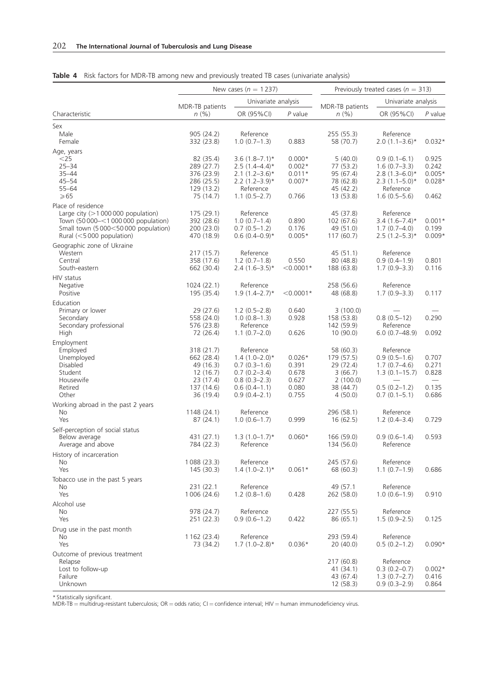|                                                                                                                                                                        |                                                                                           | New cases ( $n = 1237$ )                                                                                                 | Previously treated cases ( $n = 313$ )                |                                                                                     |                                                                                                            |                                                 |  |  |
|------------------------------------------------------------------------------------------------------------------------------------------------------------------------|-------------------------------------------------------------------------------------------|--------------------------------------------------------------------------------------------------------------------------|-------------------------------------------------------|-------------------------------------------------------------------------------------|------------------------------------------------------------------------------------------------------------|-------------------------------------------------|--|--|
|                                                                                                                                                                        | MDR-TB patients                                                                           | Univariate analysis                                                                                                      |                                                       | MDR-TB patients                                                                     | Univariate analysis                                                                                        |                                                 |  |  |
| Characteristic                                                                                                                                                         | n(%)                                                                                      | OR (95%CI)                                                                                                               | $P$ value                                             | n(%)                                                                                | OR (95%CI)                                                                                                 | P value                                         |  |  |
| Sex<br>Male<br>Female                                                                                                                                                  | 905 (24.2)<br>332 (23.8)                                                                  | Reference<br>$1.0(0.7-1.3)$                                                                                              | 0.883                                                 | 255 (55.3)<br>58 (70.7)                                                             | Reference<br>$2.0(1.1-3.6)*$                                                                               | $0.032*$                                        |  |  |
| Age, years<br>$<$ 25<br>$25 - 34$<br>$35 - 44$<br>$45 - 54$<br>$55 - 64$<br>$\geqslant 65$                                                                             | 82 (35.4)<br>289 (27.7)<br>376 (23.9)<br>286 (25.5)<br>129 (13.2)<br>75 (14.7)            | $3.6(1.8 - 7.1)^*$<br>$2.5(1.4 - 4.4)^*$<br>$2.1 (1.2 - 3.6)^*$<br>$2.2(1.2-3.9)*$<br>Reference<br>$1.1(0.5 - 2.7)$      | $0.000*$<br>$0.002*$<br>$0.011*$<br>$0.007*$<br>0.766 | 5(40.0)<br>77 (53.2)<br>95 (67.4)<br>78 (62.8)<br>45 (42.2)<br>13 (53.8)            | $0.9(0.1 - 6.1)$<br>$1.6(0.7-3.3)$<br>$2.8(1.3-6.0)*$<br>$2.3(1.1-5.0)*$<br>Reference<br>$1.6(0.5 - 5.6)$  | 0.925<br>0.242<br>$0.005*$<br>$0.028*$<br>0.462 |  |  |
| Place of residence<br>Large city ( $>1000000$ population)<br>Town (50 000-<1 000 000 population)<br>Small town (5 000<50 000 population)<br>Rural $(<5000$ population) | 175(29.1)<br>392 (28.6)<br>200 (23.0)<br>470 (18.9)                                       | Reference<br>$1.0(0.7-1.4)$<br>$0.7(0.5-1.2)$<br>$0.6(0.4-0.9)*$                                                         | 0.890<br>0.176<br>$0.005*$                            | 45 (37.8)<br>102 (67.6)<br>49 (51.0)<br>117(60.7)                                   | Reference<br>$3.4(1.6 - 7.4)$ *<br>$1.7(0.7-4.0)$<br>$2.5(1.2-5.3)*$                                       | $0.001*$<br>0.199<br>$0.009*$                   |  |  |
| Geographic zone of Ukraine<br>Western<br>Central<br>South-eastern                                                                                                      | 217 (15.7)<br>358 (17.6)<br>662 (30.4)                                                    | Reference<br>$1.2(0.7-1.8)$<br>$2.4(1.6-3.5)^*$                                                                          | 0.550<br>$<$ 0.0001*                                  | 45(51.1)<br>80 (48.8)<br>188 (63.8)                                                 | Reference<br>$0.9(0.4-1.9)$<br>$1.7(0.9 - 3.3)$                                                            | 0.801<br>0.116                                  |  |  |
| HIV status<br>Negative<br>Positive                                                                                                                                     | 1024(22.1)<br>195 (35.4)                                                                  | Reference<br>$1.9(1.4 - 2.7)*$                                                                                           | $<$ 0.0001*                                           | 258 (56.6)<br>48 (68.8)                                                             | Reference<br>$1.7(0.9 - 3.3)$                                                                              | 0.117                                           |  |  |
| Education<br>Primary or lower<br>Secondary<br>Secondary professional<br>High                                                                                           | 29 (27.6)<br>558 (24.0)<br>576 (23.8)<br>72 (26.4)                                        | $1.2(0.5-2.8)$<br>$1.0(0.8-1.3)$<br>Reference<br>$1.1(0.7-2.0)$                                                          | 0.640<br>0.928<br>0.626                               | 3(100.0)<br>158 (53.8)<br>142 (59.9)<br>10(90.0)                                    | $0.8(0.5-12)$<br>Reference<br>$6.0(0.7-48.9)$                                                              | 0.290<br>0.092                                  |  |  |
| Employment<br>Employed<br>Unemployed<br>Disabled<br>Student<br>Housewife<br>Retired<br>Other                                                                           | 318 (21.7)<br>662 (28.4)<br>49 (16.3)<br>12(16.7)<br>23 (17.4)<br>137 (14.6)<br>36 (19.4) | Reference<br>$1.4(1.0-2.0)*$<br>$0.7(0.3-1.6)$<br>$0.7(0.2 - 3.4)$<br>$0.8(0.3-2.3)$<br>$0.6(0.4-1.1)$<br>$0.9(0.4-2.1)$ | $0.026*$<br>0.391<br>0.678<br>0.627<br>0.080<br>0.755 | 58 (60.3)<br>179 (57.5)<br>29 (72.4)<br>3(66.7)<br>2(100.0)<br>38 (44.7)<br>4(50.0) | Reference<br>$0.9(0.5-1.6)$<br>$1.7(0.7-4.6)$<br>$1.3(0.1 - 15.7)$<br>$0.5(0.2 - 1.2)$<br>$0.7(0.1 - 5.1)$ | 0.707<br>0.271<br>0.828<br>0.135<br>0.686       |  |  |
| Working abroad in the past 2 years<br>No<br>Yes                                                                                                                        | 1148 (24.1)<br>87(24.1)                                                                   | Reference<br>$1.0(0.6-1.7)$                                                                                              | 0.999                                                 | 296 (58.1)<br>16(62.5)                                                              | Reference<br>$1.2(0.4 - 3.4)$                                                                              | 0.729                                           |  |  |
| Self-perception of social status<br>Below average<br>Average and above                                                                                                 | 431 (27.1)<br>784 (22.3)                                                                  | $1.3(1.0-1.7)$ *<br>Reference                                                                                            | $0.060*$                                              | 166 (59.0)<br>134 (56.0)                                                            | $0.9(0.6-1.4)$<br>Reference                                                                                | 0.593                                           |  |  |
| History of incarceration<br>No<br>Yes                                                                                                                                  | 1088 (23.3)<br>145 (30.3)                                                                 | Reference<br>$1.4(1.0-2.1)*$                                                                                             | $0.061*$                                              | 245 (57.6)<br>68 (60.3)                                                             | Reference<br>$1.1(0.7-1.9)$                                                                                | 0.686                                           |  |  |
| Tobacco use in the past 5 years<br>No<br>Yes                                                                                                                           | 231 (22.1<br>1 0 0 (24.6)                                                                 | Reference<br>$1.2(0.8-1.6)$                                                                                              | 0.428                                                 | 49 (57.1<br>262 (58.0)                                                              | Reference<br>$1.0(0.6-1.9)$                                                                                | 0.910                                           |  |  |
| Alcohol use<br>No<br>Yes                                                                                                                                               | 978 (24.7)<br>251 (22.3)                                                                  | Reference<br>$0.9(0.6-1.2)$                                                                                              | 0.422                                                 | 227 (55.5)<br>86 (65.1)                                                             | Reference<br>$1.5(0.9 - 2.5)$                                                                              | 0.125                                           |  |  |
| Drug use in the past month<br>No<br>Yes                                                                                                                                | 1 162 (23.4)<br>73 (34.2)                                                                 | Reference<br>$1.7(1.0-2.8)$ *                                                                                            | $0.036*$                                              | 293 (59.4)<br>20(40.0)                                                              | Reference<br>$0.5(0.2-1.2)$                                                                                | $0.090*$                                        |  |  |
| Outcome of previous treatment<br>Relapse<br>Lost to follow-up<br>Failure<br>Unknown                                                                                    |                                                                                           |                                                                                                                          |                                                       | 217 (60.8)<br>41 (34.1)<br>43 (67.4)<br>12(58.3)                                    | Reference<br>$0.3(0.2-0.7)$<br>$1.3(0.7-2.7)$<br>$0.9(0.3 - 2.9)$                                          | $0.002*$<br>0.416<br>0.864                      |  |  |

|  |  |  |  |  |  |  | <b>Table 4</b> Risk factors for MDR-TB among new and previously treated TB cases (univariate analysis) |  |
|--|--|--|--|--|--|--|--------------------------------------------------------------------------------------------------------|--|
|  |  |  |  |  |  |  |                                                                                                        |  |

\* Statistically significant.<br>MDR-TB = multidrug-resistant tuberculosis; OR = odds ratio; CI = confidence interval; HIV = human immunodeficiency virus.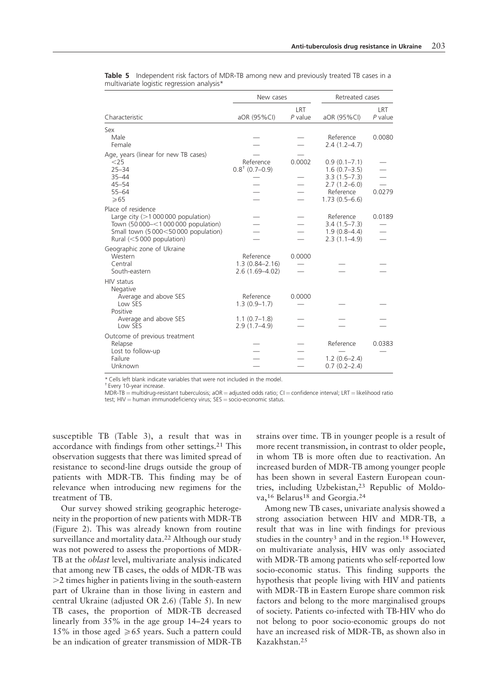|                                                                                                                                                                          | New cases                                             |                  | Retreated cases                                                                                              |                  |  |  |
|--------------------------------------------------------------------------------------------------------------------------------------------------------------------------|-------------------------------------------------------|------------------|--------------------------------------------------------------------------------------------------------------|------------------|--|--|
| Characteristic                                                                                                                                                           | aOR (95%CI)                                           | LRT<br>$P$ value | aOR (95%CI)                                                                                                  | LRT<br>$P$ value |  |  |
| Sex<br>Male                                                                                                                                                              |                                                       |                  | Reference                                                                                                    | 0.0080           |  |  |
| Female                                                                                                                                                                   |                                                       |                  | $2.4(1.2 - 4.7)$                                                                                             |                  |  |  |
| Age, years (linear for new TB cases)<br>$<$ 25<br>$25 - 34$<br>$35 - 44$<br>$45 - 54$<br>$55 - 64$<br>$\geqslant 65$                                                     | Reference<br>$0.8†$ (0.7-0.9)                         | 0.0002           | $0.9(0.1 - 7.1)$<br>$1.6(0.7 - 3.5)$<br>$3.3(1.5 - 7.3)$<br>$2.7(1.2-6.0)$<br>Reference<br>$1.73(0.5 - 6.6)$ | 0.0279           |  |  |
| Place of residence<br>Large city $(>1000000$ population)<br>Town (50 000 - < 1 000 000 population)<br>Small town (5 000<50 000 population)<br>Rural $(<5000$ population) |                                                       |                  | Reference<br>$3.4(1.5 - 7.3)$<br>$1.9(0.8-4.4)$<br>$2.3(1.1-4.9)$                                            | 0.0189           |  |  |
| Geographic zone of Ukraine<br>Western<br>Central<br>South-eastern                                                                                                        | Reference<br>$1.3(0.84 - 2.16)$<br>$2.6(1.69 - 4.02)$ | 0.0000           |                                                                                                              |                  |  |  |
| HIV status<br><b>Negative</b><br>Average and above SES<br>Low SES                                                                                                        | Reference<br>$1.3(0.9-1.7)$                           | 0.0000           |                                                                                                              |                  |  |  |
| Positive<br>Average and above SES<br>Low SES                                                                                                                             | $1.1(0.7-1.8)$<br>$2.9(1.7 - 4.9)$                    |                  |                                                                                                              |                  |  |  |
| Outcome of previous treatment<br>Relapse<br>Lost to follow-up<br>Failure<br>Unknown                                                                                      |                                                       |                  | Reference<br>$1.2(0.6-2.4)$<br>$0.7(0.2 - 2.4)$                                                              | 0.0383           |  |  |

| <b>Table 5</b> Independent risk factors of MDR-TB among new and previously treated TB cases in a |  |  |  |  |  |
|--------------------------------------------------------------------------------------------------|--|--|--|--|--|
| multivariate logistic regression analysis*                                                       |  |  |  |  |  |

\* Cells left blank indicate variables that were not included in the model.

† Every 10-year increase.

MDR-TB = multidrug-resistant tuberculosis; aOR = adjusted odds ratio; CI = confidence interval; LRT = likelihood ratio test;  $HIV =$  human immunodeficiency virus;  $SES =$  socio-economic status.

susceptible TB (Table 3), a result that was in accordance with findings from other settings.<sup>21</sup> This observation suggests that there was limited spread of resistance to second-line drugs outside the group of patients with MDR-TB. This finding may be of relevance when introducing new regimens for the treatment of TB.

Our survey showed striking geographic heterogeneity in the proportion of new patients with MDR-TB (Figure 2). This was already known from routine surveillance and mortality data.<sup>22</sup> Although our study was not powered to assess the proportions of MDR-TB at the *oblast* level, multivariate analysis indicated that among new TB cases, the odds of MDR-TB was  $>$ 2 times higher in patients living in the south-eastern part of Ukraine than in those living in eastern and central Ukraine (adjusted OR 2.6) (Table 5). In new TB cases, the proportion of MDR-TB decreased linearly from 35% in the age group 14–24 years to 15% in those aged  $\ge 65$  years. Such a pattern could be an indication of greater transmission of MDR-TB strains over time. TB in younger people is a result of more recent transmission, in contrast to older people, in whom TB is more often due to reactivation. An increased burden of MDR-TB among younger people has been shown in several Eastern European countries, including Uzbekistan,<sup>23</sup> Republic of Moldova,<sup>16</sup> Belarus<sup>18</sup> and Georgia.<sup>24</sup>

Among new TB cases, univariate analysis showed a strong association between HIV and MDR-TB, a result that was in line with findings for previous studies in the country<sup>3</sup> and in the region.<sup>18</sup> However, on multivariate analysis, HIV was only associated with MDR-TB among patients who self-reported low socio-economic status. This finding supports the hypothesis that people living with HIV and patients with MDR-TB in Eastern Europe share common risk factors and belong to the more marginalised groups of society. Patients co-infected with TB-HIV who do not belong to poor socio-economic groups do not have an increased risk of MDR-TB, as shown also in Kazakhstan.<sup>25</sup>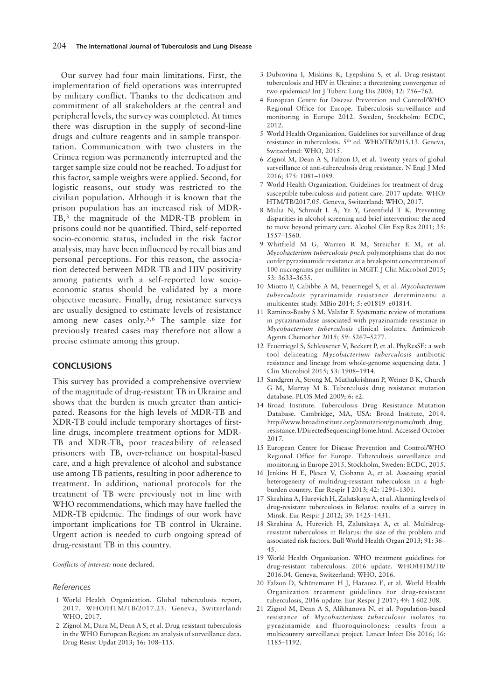Our survey had four main limitations. First, the implementation of field operations was interrupted by military conflict. Thanks to the dedication and commitment of all stakeholders at the central and peripheral levels, the survey was completed. At times there was disruption in the supply of second-line drugs and culture reagents and in sample transportation. Communication with two clusters in the Crimea region was permanently interrupted and the target sample size could not be reached. To adjust for this factor, sample weights were applied. Second, for logistic reasons, our study was restricted to the civilian population. Although it is known that the prison population has an increased risk of MDR-TB,<sup>3</sup> the magnitude of the MDR-TB problem in prisons could not be quantified. Third, self-reported socio-economic status, included in the risk factor analysis, may have been influenced by recall bias and personal perceptions. For this reason, the association detected between MDR-TB and HIV positivity among patients with a self-reported low socioeconomic status should be validated by a more objective measure. Finally, drug resistance surveys are usually designed to estimate levels of resistance among new cases only.5,6 The sample size for previously treated cases may therefore not allow a precise estimate among this group.

# **CONCLUSIONS**

This survey has provided a comprehensive overview of the magnitude of drug-resistant TB in Ukraine and shows that the burden is much greater than anticipated. Reasons for the high levels of MDR-TB and XDR-TB could include temporary shortages of firstline drugs, incomplete treatment options for MDR-TB and XDR-TB, poor traceability of released prisoners with TB, over-reliance on hospital-based care, and a high prevalence of alcohol and substance use among TB patients, resulting in poor adherence to treatment. In addition, national protocols for the treatment of TB were previously not in line with WHO recommendations, which may have fuelled the MDR-TB epidemic. The findings of our work have important implications for TB control in Ukraine. Urgent action is needed to curb ongoing spread of drug-resistant TB in this country.

Conflicts of interest: none declared.

#### References

- 1 World Health Organization. Global tuberculosis report, 2017. WHO/HTM/TB/2017.23. Geneva, Switzerland: WHO, 2017.
- 2 Zignol M, Dara M, Dean A S, et al. Drug-resistant tuberculosis in the WHO European Region: an analysis of surveillance data. Drug Resist Updat 2013; 16: 108–115.
- 3 Dubrovina I, Miskinis K, Lyepshina S, et al. Drug-resistant tuberculosis and HIV in Ukraine: a threatening convergence of two epidemics? Int J Tuberc Lung Dis 2008; 12: 756–762.
- 4 European Centre for Disease Prevention and Control/WHO Regional Office for Europe. Tuberculosis surveillance and monitoring in Europe 2012. Sweden, Stockholm: ECDC, 2012.
- 5 World Health Organization. Guidelines for surveillance of drug resistance in tuberculosis. 5th ed. WHO/TB/2015.13. Geneva, Switzerland: WHO, 2015.
- 6 Zignol M, Dean A S, Falzon D, et al. Twenty years of global surveillance of anti-tuberculosis drug resistance. N Engl J Med 2016; 375: 1081–1089.
- 7 World Health Organization. Guidelines for treatment of drugsusceptible tuberculosis and patient care. 2017 update. WHO/ HTM/TB/2017.05. Geneva, Switzerland: WHO, 2017.
- 8 Mulia N, Schmidt L A, Ye Y, Greenfield T K. Preventing disparities in alcohol screening and brief intervention: the need to move beyond primary care. Alcohol Clin Exp Res 2011; 35: 1557–1560.
- 9 Whitfield M G, Warren R M, Streicher E M, et al. Mycobacterium tuberculosis pncA polymorphisms that do not confer pyrazinamide resistance at a breakpoint concentration of 100 micrograms per milliliter in MGIT. J Clin Microbiol 2015; 53: 3633–3635.
- 10 Miotto P, Cabibbe A M, Feuerriegel S, et al. Mycobacterium tuberculosis pyrazinamide resistance determinants: a multicenter study. MBio 2014; 5: e01819–e01814.
- 11 Ramirez-Busby S M, Valafar F. Systematic review of mutations in pyrazinamidase associated with pyrazinamide resistance in Mycobacterium tuberculosis clinical isolates. Antimicrob Agents Chemother 2015; 59: 5267–5277.
- 12 Feuerriegel S, Schleusener V, Beckert P, et al. PhyResSE: a web tool delineating Mycobacterium tuberculosis antibiotic resistance and lineage from whole-genome sequencing data. J Clin Microbiol 2015; 53: 1908–1914.
- 13 Sandgren A, Strong M, Muthukrishnan P, Weiner B K, Church G M, Murray M B. Tuberculosis drug resistance mutation database. PLOS Med 2009; 6: e2.
- 14 Broad Institute. Tuberculosis Drug Resistance Mutation Database. Cambridge, MA, USA: Broad Institute, 2014. http://www.broadinstitute.org/annotation/genome/mtb\_drug\_ resistance.1/DirectedSequencingHome.html. Accessed October 2017.
- 15 European Centre for Disease Prevention and Control/WHO Regional Office for Europe. Tuberculosis surveillance and monitoring in Europe 2015. Stockholm, Sweden: ECDC, 2015.
- 16 Jenkins H E, Plesca V, Ciobanu A, et al. Assessing spatial heterogeneity of multidrug-resistant tuberculosis in a highburden country. Eur Respir J 2013; 42: 1291–1301.
- 17 Skrahina A, Hurevich H, Zalutskaya A, et al. Alarming levels of drug-resistant tuberculosis in Belarus: results of a survey in Minsk. Eur Respir J 2012; 39: 1425–1431.
- 18 Skrahina A, Hurevich H, Zalutskaya A, et al. Multidrugresistant tuberculosis in Belarus: the size of the problem and associated risk factors. Bull World Health Organ 2013; 91: 36– 45.
- 19 World Health Organization. WHO treatment guidelines for drug-resistant tuberculosis. 2016 update. WHO/HTM/TB/ 2016.04. Geneva, Switzerland: WHO, 2016.
- 20 Falzon D, Schünemann H J, Harausz E, et al. World Health Organization treatment guidelines for drug-resistant tuberculosis, 2016 update. Eur Respir J 2017; 49: 1 602 308.
- 21 Zignol M, Dean A S, Alikhanova N, et al. Population-based resistance of Mycobacterium tuberculosis isolates to pyrazinamide and fluoroquinolones: results from a multicountry surveillance project. Lancet Infect Dis 2016; 16: 1185–1192.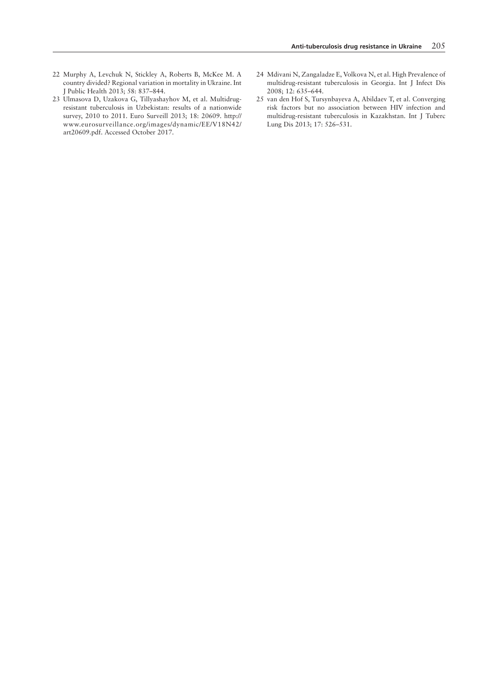- 22 Murphy A, Levchuk N, Stickley A, Roberts B, McKee M. A country divided? Regional variation in mortality in Ukraine. Int J Public Health 2013; 58: 837–844.
- 23 Ulmasova D, Uzakova G, Tillyashayhov M, et al. Multidrugresistant tuberculosis in Uzbekistan: results of a nationwide survey, 2010 to 2011. Euro Surveill 2013; 18: 20609. http:// www.eurosurveillance.org/images/dynamic/EE/V18N42/ art20609.pdf. Accessed October 2017.
- 24 Mdivani N, Zangaladze E, Volkova N, et al. High Prevalence of multidrug-resistant tuberculosis in Georgia. Int J Infect Dis 2008; 12: 635–644.
- 25 van den Hof S, Tursynbayeva A, Abildaev T, et al. Converging risk factors but no association between HIV infection and multidrug-resistant tuberculosis in Kazakhstan. Int J Tuberc Lung Dis 2013; 17: 526–531.